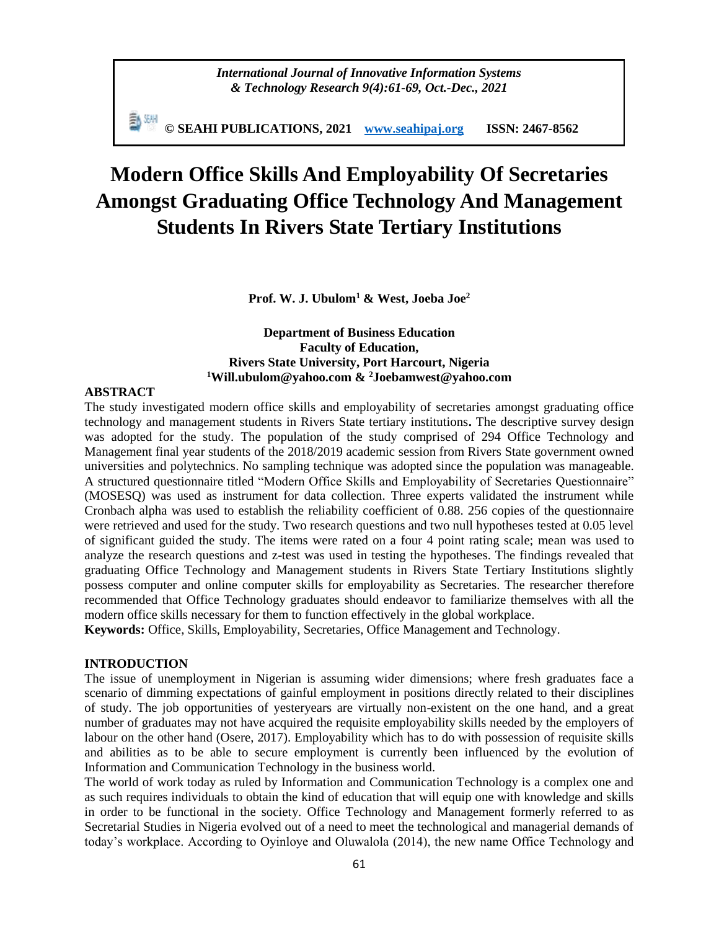**© SEAHI PUBLICATIONS, 2021 [www.seahipaj.org](http://www.seahipaj.org/) ISSN: 2467-8562**

# **Modern Office Skills And Employability Of Secretaries Amongst Graduating Office Technology And Management Students In Rivers State Tertiary Institutions**

**Prof. W. J. Ubulom<sup>1</sup> & West, Joeba Joe<sup>2</sup>**

# **Department of Business Education Faculty of Education, Rivers State University, Port Harcourt, Nigeria <sup>1</sup>[Will.ubulom@yahoo.com](mailto:Will.ubulom@yahoo.com) & <sup>2</sup>[Joebamwest@yahoo.com](mailto:Joebamwest@yahoo.com)**

## **ABSTRACT**

The study investigated modern office skills and employability of secretaries amongst graduating office technology and management students in Rivers State tertiary institutions**.** The descriptive survey design was adopted for the study. The population of the study comprised of 294 Office Technology and Management final year students of the 2018/2019 academic session from Rivers State government owned universities and polytechnics. No sampling technique was adopted since the population was manageable. A structured questionnaire titled "Modern Office Skills and Employability of Secretaries Questionnaire" (MOSESQ) was used as instrument for data collection. Three experts validated the instrument while Cronbach alpha was used to establish the reliability coefficient of 0.88. 256 copies of the questionnaire were retrieved and used for the study. Two research questions and two null hypotheses tested at 0.05 level of significant guided the study. The items were rated on a four 4 point rating scale; mean was used to analyze the research questions and z-test was used in testing the hypotheses. The findings revealed that graduating Office Technology and Management students in Rivers State Tertiary Institutions slightly possess computer and online computer skills for employability as Secretaries. The researcher therefore recommended that Office Technology graduates should endeavor to familiarize themselves with all the modern office skills necessary for them to function effectively in the global workplace.

**Keywords:** Office, Skills, Employability, Secretaries, Office Management and Technology.

#### **INTRODUCTION**

The issue of unemployment in Nigerian is assuming wider dimensions; where fresh graduates face a scenario of dimming expectations of gainful employment in positions directly related to their disciplines of study. The job opportunities of yesteryears are virtually non-existent on the one hand, and a great number of graduates may not have acquired the requisite employability skills needed by the employers of labour on the other hand (Osere, 2017). Employability which has to do with possession of requisite skills and abilities as to be able to secure employment is currently been influenced by the evolution of Information and Communication Technology in the business world.

The world of work today as ruled by Information and Communication Technology is a complex one and as such requires individuals to obtain the kind of education that will equip one with knowledge and skills in order to be functional in the society. Office Technology and Management formerly referred to as Secretarial Studies in Nigeria evolved out of a need to meet the technological and managerial demands of today's workplace. According to Oyinloye and Oluwalola (2014), the new name Office Technology and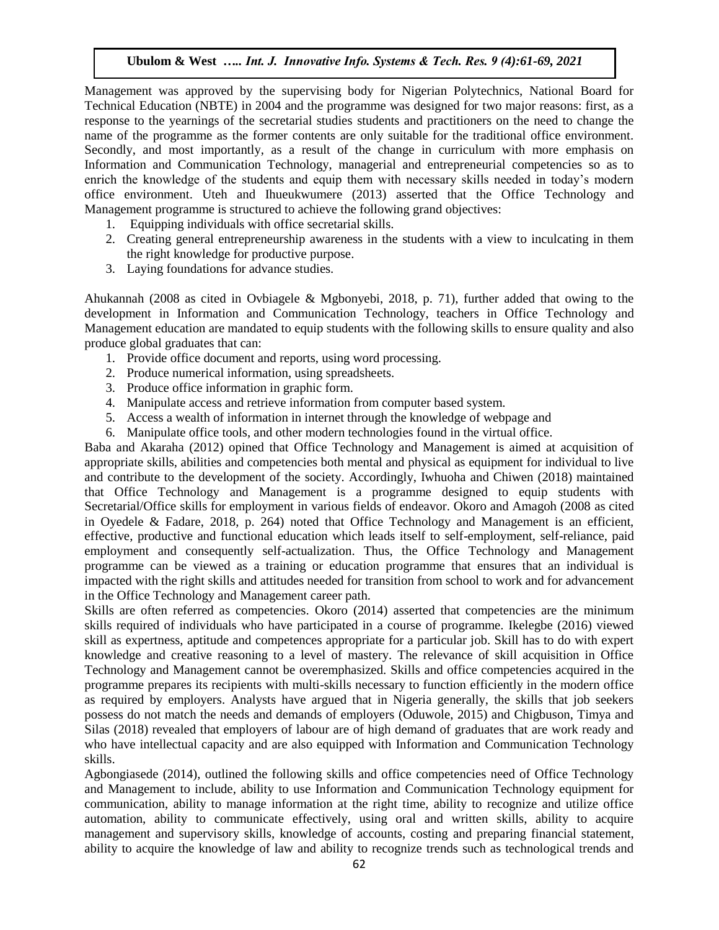Management was approved by the supervising body for Nigerian Polytechnics, National Board for Technical Education (NBTE) in 2004 and the programme was designed for two major reasons: first, as a response to the yearnings of the secretarial studies students and practitioners on the need to change the name of the programme as the former contents are only suitable for the traditional office environment. Secondly, and most importantly, as a result of the change in curriculum with more emphasis on Information and Communication Technology, managerial and entrepreneurial competencies so as to enrich the knowledge of the students and equip them with necessary skills needed in today's modern office environment. Uteh and Ihueukwumere (2013) asserted that the Office Technology and Management programme is structured to achieve the following grand objectives:

- 1. Equipping individuals with office secretarial skills.
- 2. Creating general entrepreneurship awareness in the students with a view to inculcating in them the right knowledge for productive purpose.
- 3. Laying foundations for advance studies.

Ahukannah (2008 as cited in Ovbiagele & Mgbonyebi, 2018, p. 71), further added that owing to the development in Information and Communication Technology, teachers in Office Technology and Management education are mandated to equip students with the following skills to ensure quality and also produce global graduates that can:

- 1. Provide office document and reports, using word processing.
- 2. Produce numerical information, using spreadsheets.
- 3. Produce office information in graphic form.
- 4. Manipulate access and retrieve information from computer based system.
- 5. Access a wealth of information in internet through the knowledge of webpage and
- 6. Manipulate office tools, and other modern technologies found in the virtual office.

Baba and Akaraha (2012) opined that Office Technology and Management is aimed at acquisition of appropriate skills, abilities and competencies both mental and physical as equipment for individual to live and contribute to the development of the society. Accordingly, Iwhuoha and Chiwen (2018) maintained that Office Technology and Management is a programme designed to equip students with Secretarial/Office skills for employment in various fields of endeavor. Okoro and Amagoh (2008 as cited in Oyedele & Fadare, 2018, p. 264) noted that Office Technology and Management is an efficient, effective, productive and functional education which leads itself to self-employment, self-reliance, paid employment and consequently self-actualization. Thus, the Office Technology and Management programme can be viewed as a training or education programme that ensures that an individual is impacted with the right skills and attitudes needed for transition from school to work and for advancement in the Office Technology and Management career path.

Skills are often referred as competencies. Okoro (2014) asserted that competencies are the minimum skills required of individuals who have participated in a course of programme. Ikelegbe (2016) viewed skill as expertness, aptitude and competences appropriate for a particular job. Skill has to do with expert knowledge and creative reasoning to a level of mastery. The relevance of skill acquisition in Office Technology and Management cannot be overemphasized. Skills and office competencies acquired in the programme prepares its recipients with multi-skills necessary to function efficiently in the modern office as required by employers. Analysts have argued that in Nigeria generally, the skills that job seekers possess do not match the needs and demands of employers (Oduwole, 2015) and Chigbuson, Timya and Silas (2018) revealed that employers of labour are of high demand of graduates that are work ready and who have intellectual capacity and are also equipped with Information and Communication Technology skills.

Agbongiasede (2014), outlined the following skills and office competencies need of Office Technology and Management to include, ability to use Information and Communication Technology equipment for communication, ability to manage information at the right time, ability to recognize and utilize office automation, ability to communicate effectively, using oral and written skills, ability to acquire management and supervisory skills, knowledge of accounts, costing and preparing financial statement, ability to acquire the knowledge of law and ability to recognize trends such as technological trends and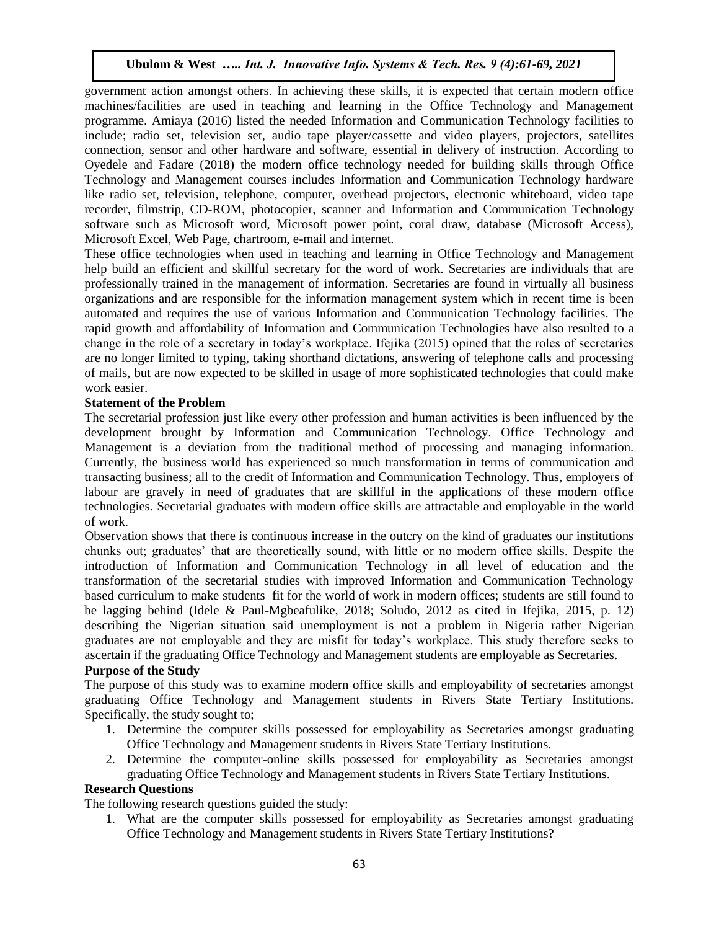government action amongst others. In achieving these skills, it is expected that certain modern office machines/facilities are used in teaching and learning in the Office Technology and Management programme. Amiaya (2016) listed the needed Information and Communication Technology facilities to include; radio set, television set, audio tape player/cassette and video players, projectors, satellites connection, sensor and other hardware and software, essential in delivery of instruction. According to Oyedele and Fadare (2018) the modern office technology needed for building skills through Office Technology and Management courses includes Information and Communication Technology hardware like radio set, television, telephone, computer, overhead projectors, electronic whiteboard, video tape recorder, filmstrip, CD-ROM, photocopier, scanner and Information and Communication Technology software such as Microsoft word, Microsoft power point, coral draw, database (Microsoft Access), Microsoft Excel, Web Page, chartroom, e-mail and internet.

These office technologies when used in teaching and learning in Office Technology and Management help build an efficient and skillful secretary for the word of work. Secretaries are individuals that are professionally trained in the management of information. Secretaries are found in virtually all business organizations and are responsible for the information management system which in recent time is been automated and requires the use of various Information and Communication Technology facilities. The rapid growth and affordability of Information and Communication Technologies have also resulted to a change in the role of a secretary in today's workplace. Ifejika (2015) opined that the roles of secretaries are no longer limited to typing, taking shorthand dictations, answering of telephone calls and processing of mails, but are now expected to be skilled in usage of more sophisticated technologies that could make work easier.

#### **Statement of the Problem**

The secretarial profession just like every other profession and human activities is been influenced by the development brought by Information and Communication Technology. Office Technology and Management is a deviation from the traditional method of processing and managing information. Currently, the business world has experienced so much transformation in terms of communication and transacting business; all to the credit of Information and Communication Technology. Thus, employers of labour are gravely in need of graduates that are skillful in the applications of these modern office technologies. Secretarial graduates with modern office skills are attractable and employable in the world of work.

Observation shows that there is continuous increase in the outcry on the kind of graduates our institutions chunks out; graduates' that are theoretically sound, with little or no modern office skills. Despite the introduction of Information and Communication Technology in all level of education and the transformation of the secretarial studies with improved Information and Communication Technology based curriculum to make students fit for the world of work in modern offices; students are still found to be lagging behind (Idele & Paul-Mgbeafulike, 2018; Soludo, 2012 as cited in Ifejika, 2015, p. 12) describing the Nigerian situation said unemployment is not a problem in Nigeria rather Nigerian graduates are not employable and they are misfit for today's workplace. This study therefore seeks to ascertain if the graduating Office Technology and Management students are employable as Secretaries.

#### **Purpose of the Study**

The purpose of this study was to examine modern office skills and employability of secretaries amongst graduating Office Technology and Management students in Rivers State Tertiary Institutions. Specifically, the study sought to;

- 1. Determine the computer skills possessed for employability as Secretaries amongst graduating Office Technology and Management students in Rivers State Tertiary Institutions.
- 2. Determine the computer-online skills possessed for employability as Secretaries amongst graduating Office Technology and Management students in Rivers State Tertiary Institutions.

## **Research Questions**

The following research questions guided the study:

1. What are the computer skills possessed for employability as Secretaries amongst graduating Office Technology and Management students in Rivers State Tertiary Institutions?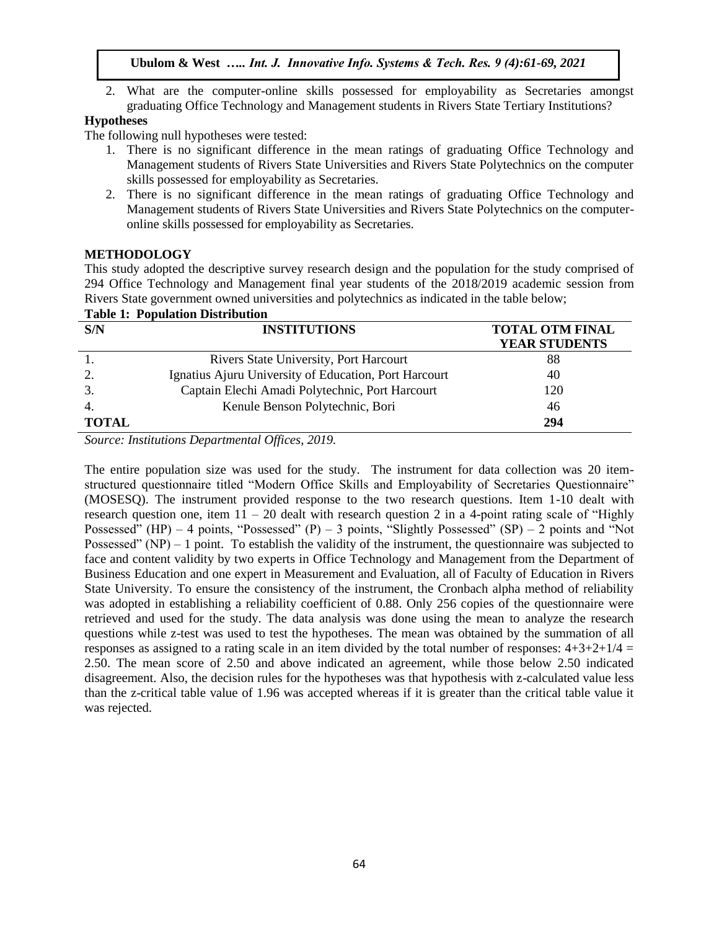2. What are the computer-online skills possessed for employability as Secretaries amongst graduating Office Technology and Management students in Rivers State Tertiary Institutions?

# **Hypotheses**

The following null hypotheses were tested:

- 1. There is no significant difference in the mean ratings of graduating Office Technology and Management students of Rivers State Universities and Rivers State Polytechnics on the computer skills possessed for employability as Secretaries.
- 2. There is no significant difference in the mean ratings of graduating Office Technology and Management students of Rivers State Universities and Rivers State Polytechnics on the computeronline skills possessed for employability as Secretaries.

## **METHODOLOGY**

**Table 1: Population Distribution**

This study adopted the descriptive survey research design and the population for the study comprised of 294 Office Technology and Management final year students of the 2018/2019 academic session from Rivers State government owned universities and polytechnics as indicated in the table below;

| S/N              | <b>INSTITUTIONS</b>                                   | <b>TOTAL OTM FINAL</b> |  |  |
|------------------|-------------------------------------------------------|------------------------|--|--|
|                  |                                                       | <b>YEAR STUDENTS</b>   |  |  |
|                  | Rivers State University, Port Harcourt                | 88                     |  |  |
| 2.               | Ignatius Ajuru University of Education, Port Harcourt | 40                     |  |  |
| 3.               | Captain Elechi Amadi Polytechnic, Port Harcourt       | 120                    |  |  |
| $\overline{4}$ . | Kenule Benson Polytechnic, Bori                       | 46                     |  |  |
| <b>TOTAL</b>     |                                                       | 294                    |  |  |

*Source: Institutions Departmental Offices, 2019.*

The entire population size was used for the study. The instrument for data collection was 20 itemstructured questionnaire titled "Modern Office Skills and Employability of Secretaries Questionnaire" (MOSESQ). The instrument provided response to the two research questions. Item 1-10 dealt with research question one, item  $11 - 20$  dealt with research question 2 in a 4-point rating scale of "Highly" Possessed" (HP) – 4 points, "Possessed" (P) – 3 points, "Slightly Possessed" (SP) – 2 points and "Not Possessed" (NP) – 1 point. To establish the validity of the instrument, the questionnaire was subjected to face and content validity by two experts in Office Technology and Management from the Department of Business Education and one expert in Measurement and Evaluation, all of Faculty of Education in Rivers State University. To ensure the consistency of the instrument, the Cronbach alpha method of reliability was adopted in establishing a reliability coefficient of 0.88. Only 256 copies of the questionnaire were retrieved and used for the study. The data analysis was done using the mean to analyze the research questions while z-test was used to test the hypotheses. The mean was obtained by the summation of all responses as assigned to a rating scale in an item divided by the total number of responses:  $4+3+2+1/4 =$ 2.50. The mean score of 2.50 and above indicated an agreement, while those below 2.50 indicated disagreement. Also, the decision rules for the hypotheses was that hypothesis with z-calculated value less than the z-critical table value of 1.96 was accepted whereas if it is greater than the critical table value it was rejected.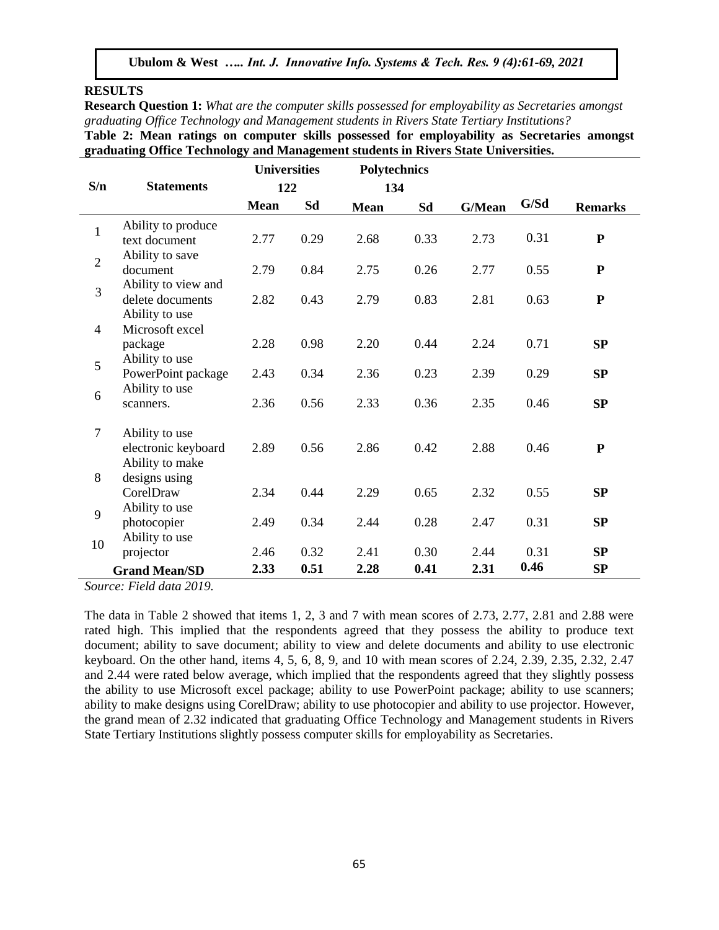#### **RESULTS**

**Research Question 1:** *What are the computer skills possessed for employability as Secretaries amongst graduating Office Technology and Management students in Rivers State Tertiary Institutions?*

**Table 2: Mean ratings on computer skills possessed for employability as Secretaries amongst graduating Office Technology and Management students in Rivers State Universities.** 

|                          |                                                           | <b>Universities</b> |              | <b>Polytechnics</b> |              |              |              |                |
|--------------------------|-----------------------------------------------------------|---------------------|--------------|---------------------|--------------|--------------|--------------|----------------|
| S/n                      | <b>Statements</b>                                         | 122                 |              | 134                 |              |              |              |                |
|                          |                                                           | <b>Mean</b>         | Sd           | <b>Mean</b>         | Sd           | G/Mean       | G/Sd         | <b>Remarks</b> |
| $\mathbf{1}$             | Ability to produce<br>text document                       | 2.77                | 0.29         | 2.68                | 0.33         | 2.73         | 0.31         | ${\bf P}$      |
| $\overline{2}$           | Ability to save<br>document                               | 2.79                | 0.84         | 2.75                | 0.26         | 2.77         | 0.55         | ${\bf P}$      |
| 3                        | Ability to view and<br>delete documents<br>Ability to use | 2.82                | 0.43         | 2.79                | 0.83         | 2.81         | 0.63         | ${\bf P}$      |
| $\overline{\mathcal{L}}$ | Microsoft excel<br>package                                | 2.28                | 0.98         | 2.20                | 0.44         | 2.24         | 0.71         | SP             |
| 5                        | Ability to use<br>PowerPoint package                      | 2.43                | 0.34         | 2.36                | 0.23         | 2.39         | 0.29         | SP             |
| 6                        | Ability to use<br>scanners.                               | 2.36                | 0.56         | 2.33                | 0.36         | 2.35         | 0.46         | SP             |
| $\overline{7}$           | Ability to use<br>electronic keyboard<br>Ability to make  | 2.89                | 0.56         | 2.86                | 0.42         | 2.88         | 0.46         | ${\bf P}$      |
| 8                        | designs using<br>CorelDraw                                | 2.34                | 0.44         | 2.29                | 0.65         | 2.32         | 0.55         | SP             |
| 9                        | Ability to use<br>photocopier                             | 2.49                | 0.34         | 2.44                | 0.28         | 2.47         | 0.31         | SP             |
| 10                       | Ability to use<br>projector<br><b>Grand Mean/SD</b>       | 2.46<br>2.33        | 0.32<br>0.51 | 2.41<br>2.28        | 0.30<br>0.41 | 2.44<br>2.31 | 0.31<br>0.46 | SP<br>SP       |

*Source: Field data 2019.*

The data in Table 2 showed that items 1, 2, 3 and 7 with mean scores of 2.73, 2.77, 2.81 and 2.88 were rated high. This implied that the respondents agreed that they possess the ability to produce text document; ability to save document; ability to view and delete documents and ability to use electronic keyboard. On the other hand, items 4, 5, 6, 8, 9, and 10 with mean scores of 2.24, 2.39, 2.35, 2.32, 2.47 and 2.44 were rated below average, which implied that the respondents agreed that they slightly possess the ability to use Microsoft excel package; ability to use PowerPoint package; ability to use scanners; ability to make designs using CorelDraw; ability to use photocopier and ability to use projector. However, the grand mean of 2.32 indicated that graduating Office Technology and Management students in Rivers State Tertiary Institutions slightly possess computer skills for employability as Secretaries.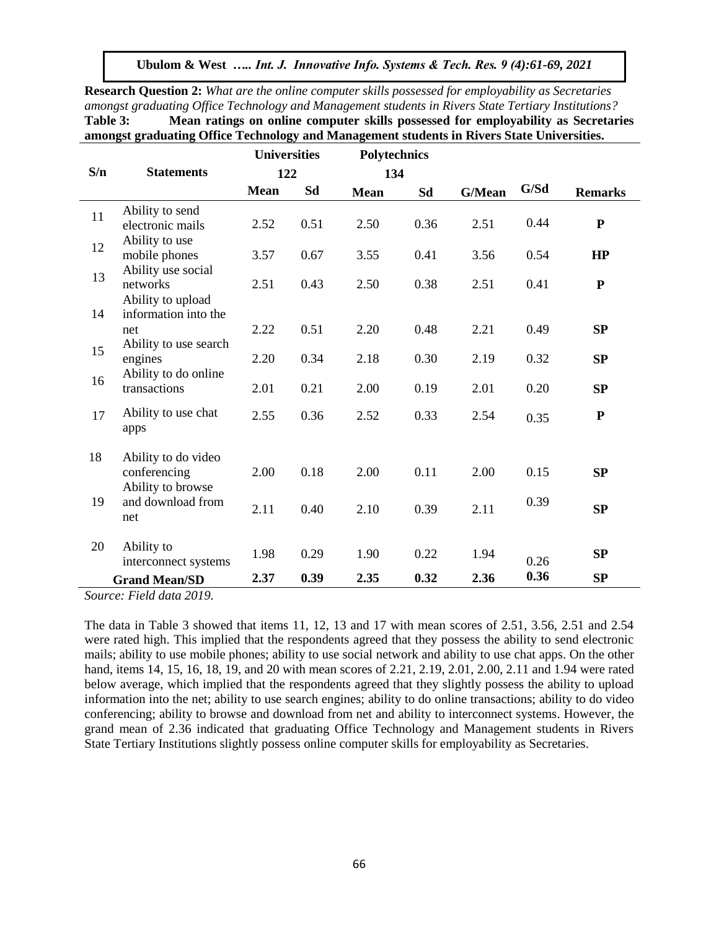**Research Question 2:** *What are the online computer skills possessed for employability as Secretaries amongst graduating Office Technology and Management students in Rivers State Tertiary Institutions?* **Table 3: Mean ratings on online computer skills possessed for employability as Secretaries amongst graduating Office Technology and Management students in Rivers State Universities.** 

|     |                                                          | <b>Universities</b> |      | <b>Polytechnics</b> |      |        |      |                |
|-----|----------------------------------------------------------|---------------------|------|---------------------|------|--------|------|----------------|
| S/n | <b>Statements</b>                                        | 122                 |      | 134                 |      |        |      |                |
|     |                                                          | <b>Mean</b>         | Sd   | <b>Mean</b>         | Sd   | G/Mean | G/Sd | <b>Remarks</b> |
| 11  | Ability to send<br>electronic mails                      | 2.52                | 0.51 | 2.50                | 0.36 | 2.51   | 0.44 | ${\bf P}$      |
| 12  | Ability to use<br>mobile phones                          | 3.57                | 0.67 | 3.55                | 0.41 | 3.56   | 0.54 | HP             |
| 13  | Ability use social<br>networks<br>Ability to upload      | 2.51                | 0.43 | 2.50                | 0.38 | 2.51   | 0.41 | ${\bf P}$      |
| 14  | information into the<br>net                              | 2.22                | 0.51 | 2.20                | 0.48 | 2.21   | 0.49 | SP             |
| 15  | Ability to use search<br>engines<br>Ability to do online | 2.20                | 0.34 | 2.18                | 0.30 | 2.19   | 0.32 | SP             |
| 16  | transactions                                             | 2.01                | 0.21 | 2.00                | 0.19 | 2.01   | 0.20 | SP             |
| 17  | Ability to use chat<br>apps                              | 2.55                | 0.36 | 2.52                | 0.33 | 2.54   | 0.35 | ${\bf P}$      |
| 18  | Ability to do video<br>conferencing                      | 2.00                | 0.18 | 2.00                | 0.11 | 2.00   | 0.15 | SP             |
| 19  | Ability to browse<br>and download from<br>net            | 2.11                | 0.40 | 2.10                | 0.39 | 2.11   | 0.39 | SP             |
| 20  | Ability to<br>interconnect systems                       | 1.98                | 0.29 | 1.90                | 0.22 | 1.94   | 0.26 | SP             |
|     | <b>Grand Mean/SD</b>                                     | 2.37                | 0.39 | 2.35                | 0.32 | 2.36   | 0.36 | SP             |

*Source: Field data 2019.*

The data in Table 3 showed that items 11, 12, 13 and 17 with mean scores of 2.51, 3.56, 2.51 and 2.54 were rated high. This implied that the respondents agreed that they possess the ability to send electronic mails; ability to use mobile phones; ability to use social network and ability to use chat apps. On the other hand, items 14, 15, 16, 18, 19, and 20 with mean scores of 2.21, 2.19, 2.01, 2.00, 2.11 and 1.94 were rated below average, which implied that the respondents agreed that they slightly possess the ability to upload information into the net; ability to use search engines; ability to do online transactions; ability to do video conferencing; ability to browse and download from net and ability to interconnect systems. However, the grand mean of 2.36 indicated that graduating Office Technology and Management students in Rivers State Tertiary Institutions slightly possess online computer skills for employability as Secretaries.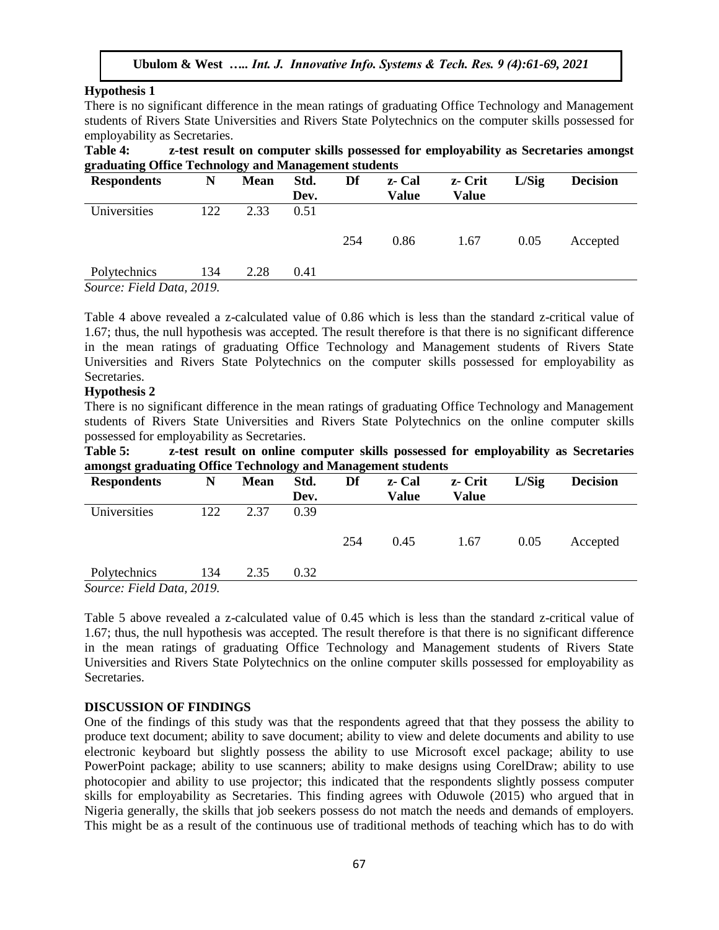#### **Hypothesis 1**

There is no significant difference in the mean ratings of graduating Office Technology and Management students of Rivers State Universities and Rivers State Polytechnics on the computer skills possessed for employability as Secretaries.

**Table 4: z-test result on computer skills possessed for employability as Secretaries amongst graduating Office Technology and Management students**

| <b>Respondents</b>        | N   | <b>Mean</b> | Std.<br>Dev. | Df  | z- Cal<br>Value | z- Crit<br>Value | L/Sig | <b>Decision</b> |
|---------------------------|-----|-------------|--------------|-----|-----------------|------------------|-------|-----------------|
| Universities              | 122 | 2.33        | 0.51         |     |                 |                  |       |                 |
|                           |     |             |              | 254 | 0.86            | 1.67             | 0.05  | Accepted        |
| Polytechnics              | 134 | 2.28        | 0.41         |     |                 |                  |       |                 |
| Source: Field Data, 2019. |     |             |              |     |                 |                  |       |                 |

Table 4 above revealed a z-calculated value of 0.86 which is less than the standard z-critical value of 1.67; thus, the null hypothesis was accepted. The result therefore is that there is no significant difference in the mean ratings of graduating Office Technology and Management students of Rivers State Universities and Rivers State Polytechnics on the computer skills possessed for employability as Secretaries.

#### **Hypothesis 2**

There is no significant difference in the mean ratings of graduating Office Technology and Management students of Rivers State Universities and Rivers State Polytechnics on the online computer skills possessed for employability as Secretaries.

**Table 5: z-test result on online computer skills possessed for employability as Secretaries amongst graduating Office Technology and Management students**

| <b>Respondents</b>        | N   | <b>Mean</b> | Std. | Df  | z- Cal       | z- Crit | L/Sig | <b>Decision</b> |
|---------------------------|-----|-------------|------|-----|--------------|---------|-------|-----------------|
|                           |     |             | Dev. |     | <b>Value</b> | Value   |       |                 |
| Universities              | 122 | 2.37        | 0.39 |     |              |         |       |                 |
|                           |     |             |      |     |              |         |       |                 |
|                           |     |             |      | 254 | 0.45         | 1.67    | 0.05  | Accepted        |
|                           |     |             |      |     |              |         |       |                 |
| Polytechnics              | 134 | 2.35        | 0.32 |     |              |         |       |                 |
| Source: Field Data, 2019. |     |             |      |     |              |         |       |                 |

Table 5 above revealed a z-calculated value of 0.45 which is less than the standard z-critical value of 1.67; thus, the null hypothesis was accepted. The result therefore is that there is no significant difference in the mean ratings of graduating Office Technology and Management students of Rivers State Universities and Rivers State Polytechnics on the online computer skills possessed for employability as Secretaries.

#### **DISCUSSION OF FINDINGS**

One of the findings of this study was that the respondents agreed that that they possess the ability to produce text document; ability to save document; ability to view and delete documents and ability to use electronic keyboard but slightly possess the ability to use Microsoft excel package; ability to use PowerPoint package; ability to use scanners; ability to make designs using CorelDraw; ability to use photocopier and ability to use projector; this indicated that the respondents slightly possess computer skills for employability as Secretaries. This finding agrees with Oduwole (2015) who argued that in Nigeria generally, the skills that job seekers possess do not match the needs and demands of employers. This might be as a result of the continuous use of traditional methods of teaching which has to do with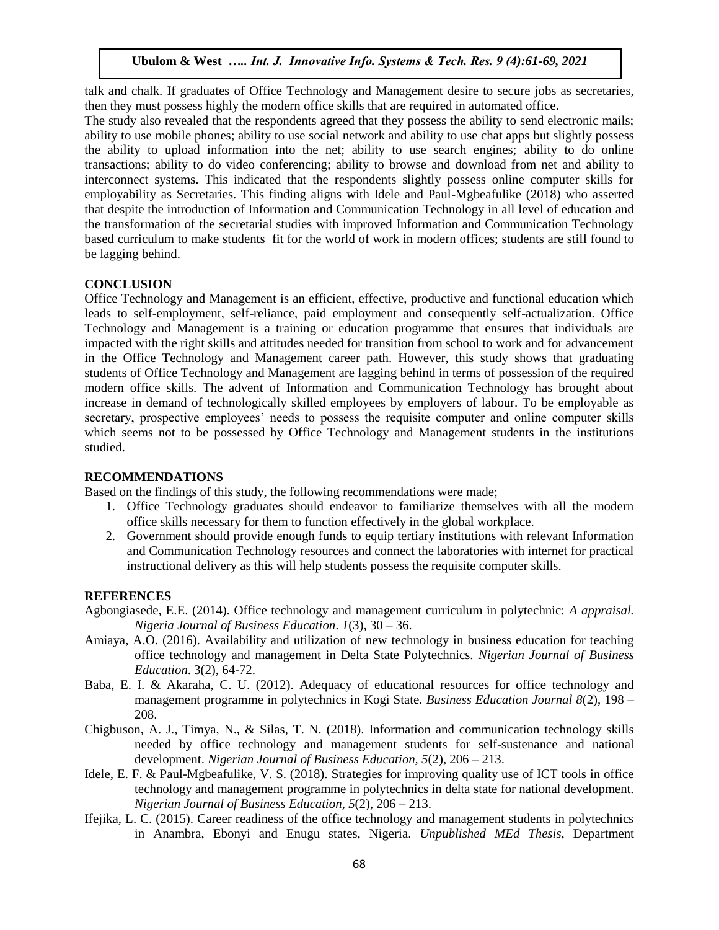talk and chalk. If graduates of Office Technology and Management desire to secure jobs as secretaries, then they must possess highly the modern office skills that are required in automated office.

The study also revealed that the respondents agreed that they possess the ability to send electronic mails; ability to use mobile phones; ability to use social network and ability to use chat apps but slightly possess the ability to upload information into the net; ability to use search engines; ability to do online transactions; ability to do video conferencing; ability to browse and download from net and ability to interconnect systems. This indicated that the respondents slightly possess online computer skills for employability as Secretaries. This finding aligns with Idele and Paul-Mgbeafulike (2018) who asserted that despite the introduction of Information and Communication Technology in all level of education and the transformation of the secretarial studies with improved Information and Communication Technology based curriculum to make students fit for the world of work in modern offices; students are still found to be lagging behind.

# **CONCLUSION**

Office Technology and Management is an efficient, effective, productive and functional education which leads to self-employment, self-reliance, paid employment and consequently self-actualization. Office Technology and Management is a training or education programme that ensures that individuals are impacted with the right skills and attitudes needed for transition from school to work and for advancement in the Office Technology and Management career path. However, this study shows that graduating students of Office Technology and Management are lagging behind in terms of possession of the required modern office skills. The advent of Information and Communication Technology has brought about increase in demand of technologically skilled employees by employers of labour. To be employable as secretary, prospective employees' needs to possess the requisite computer and online computer skills which seems not to be possessed by Office Technology and Management students in the institutions studied.

## **RECOMMENDATIONS**

Based on the findings of this study, the following recommendations were made;

- 1. Office Technology graduates should endeavor to familiarize themselves with all the modern office skills necessary for them to function effectively in the global workplace.
- 2. Government should provide enough funds to equip tertiary institutions with relevant Information and Communication Technology resources and connect the laboratories with internet for practical instructional delivery as this will help students possess the requisite computer skills.

## **REFERENCES**

- Agbongiasede, E.E. (2014). Office technology and management curriculum in polytechnic: *A appraisal. Nigeria Journal of Business Education*. *1*(3), 30 – 36.
- Amiaya, A.O. (2016). Availability and utilization of new technology in business education for teaching office technology and management in Delta State Polytechnics. *Nigerian Journal of Business Education*. 3(2), 64-72.
- Baba, E. I. & Akaraha, C. U. (2012). Adequacy of educational resources for office technology and management programme in polytechnics in Kogi State. *Business Education Journal 8*(2), 198 – 208.
- Chigbuson, A. J., Timya, N., & Silas, T. N. (2018). Information and communication technology skills needed by office technology and management students for self-sustenance and national development. *Nigerian Journal of Business Education, 5*(2), 206 – 213.
- Idele, E. F. & Paul-Mgbeafulike, V. S. (2018). Strategies for improving quality use of ICT tools in office technology and management programme in polytechnics in delta state for national development. *Nigerian Journal of Business Education, 5*(2), 206 – 213.
- Ifejika, L. C. (2015). Career readiness of the office technology and management students in polytechnics in Anambra, Ebonyi and Enugu states, Nigeria. *Unpublished MEd Thesis*, Department